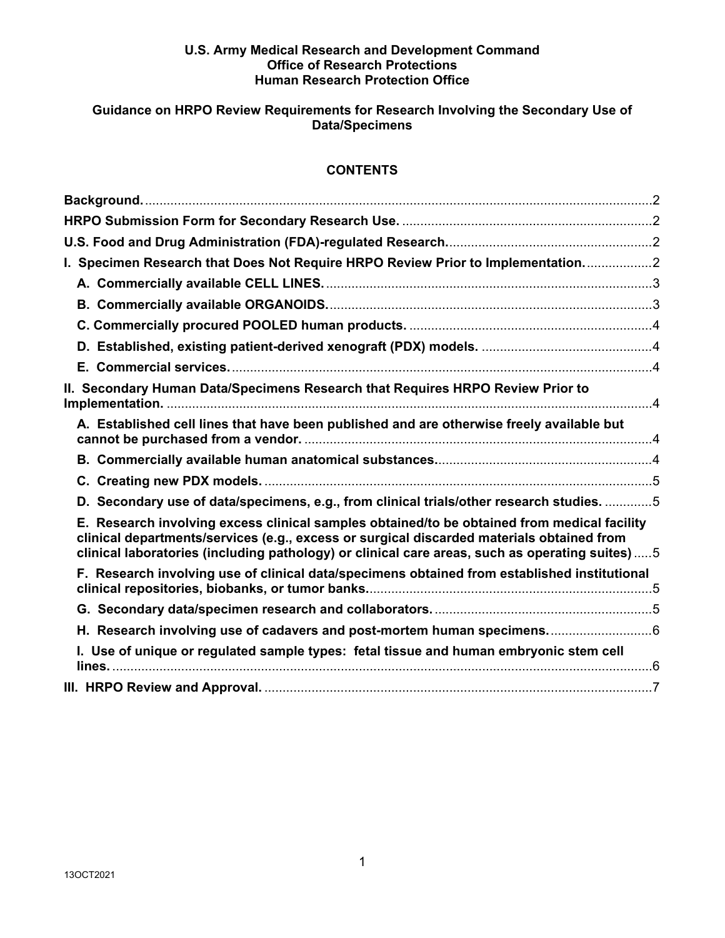#### **U.S. Army Medical Research and Development Command Office of Research Protections Human Research Protection Office**

# **Guidance on HRPO Review Requirements for Research Involving the Secondary Use of Data/Specimens**

# **CONTENTS**

| I. Specimen Research that Does Not Require HRPO Review Prior to Implementation2                                                                                                                                                                                                            |  |
|--------------------------------------------------------------------------------------------------------------------------------------------------------------------------------------------------------------------------------------------------------------------------------------------|--|
|                                                                                                                                                                                                                                                                                            |  |
|                                                                                                                                                                                                                                                                                            |  |
|                                                                                                                                                                                                                                                                                            |  |
|                                                                                                                                                                                                                                                                                            |  |
|                                                                                                                                                                                                                                                                                            |  |
| II. Secondary Human Data/Specimens Research that Requires HRPO Review Prior to                                                                                                                                                                                                             |  |
| A. Established cell lines that have been published and are otherwise freely available but                                                                                                                                                                                                  |  |
|                                                                                                                                                                                                                                                                                            |  |
|                                                                                                                                                                                                                                                                                            |  |
| D. Secondary use of data/specimens, e.g., from clinical trials/other research studies. 5                                                                                                                                                                                                   |  |
| E. Research involving excess clinical samples obtained/to be obtained from medical facility<br>clinical departments/services (e.g., excess or surgical discarded materials obtained from<br>clinical laboratories (including pathology) or clinical care areas, such as operating suites)5 |  |
| F. Research involving use of clinical data/specimens obtained from established institutional                                                                                                                                                                                               |  |
|                                                                                                                                                                                                                                                                                            |  |
| H. Research involving use of cadavers and post-mortem human specimens6                                                                                                                                                                                                                     |  |
| I. Use of unique or regulated sample types: fetal tissue and human embryonic stem cell                                                                                                                                                                                                     |  |
|                                                                                                                                                                                                                                                                                            |  |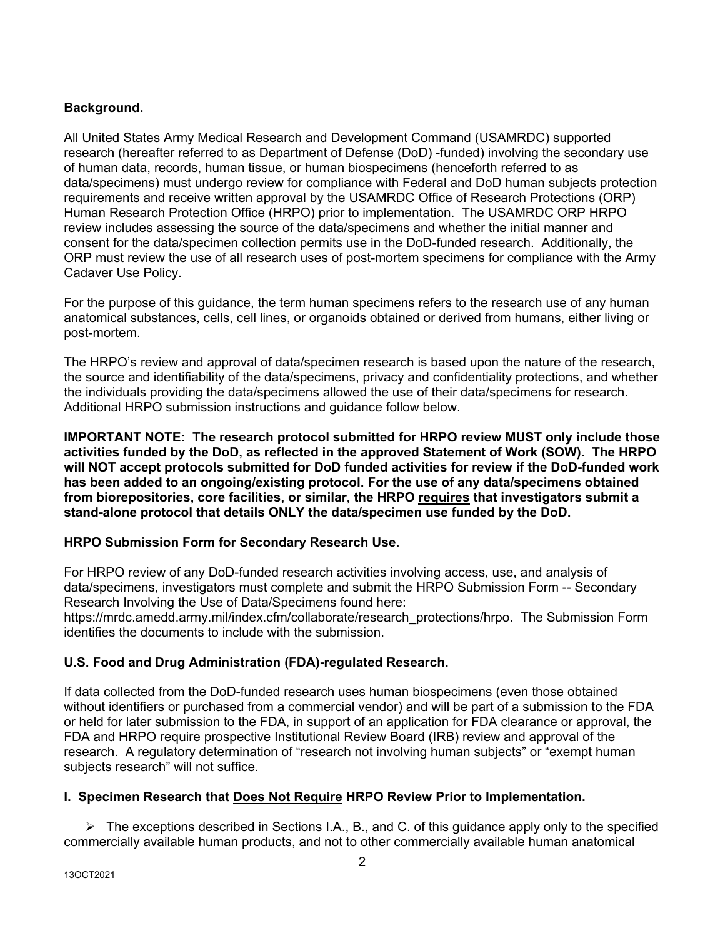# <span id="page-1-0"></span>**Background.**

All United States Army Medical Research and Development Command (USAMRDC) supported research (hereafter referred to as Department of Defense (DoD) -funded) involving the secondary use of human data, records, human tissue, or human biospecimens (henceforth referred to as data/specimens) must undergo review for compliance with Federal and DoD human subjects protection requirements and receive written approval by the USAMRDC Office of Research Protections (ORP) Human Research Protection Office (HRPO) prior to implementation. The USAMRDC ORP HRPO review includes assessing the source of the data/specimens and whether the initial manner and consent for the data/specimen collection permits use in the DoD-funded research. Additionally, the ORP must review the use of all research uses of post-mortem specimens for compliance with the Army Cadaver Use Policy.

For the purpose of this guidance, the term human specimens refers to the research use of any human anatomical substances, cells, cell lines, or organoids obtained or derived from humans, either living or post-mortem.

The HRPO's review and approval of data/specimen research is based upon the nature of the research, the source and identifiability of the data/specimens, privacy and confidentiality protections, and whether the individuals providing the data/specimens allowed the use of their data/specimens for research. Additional HRPO submission instructions and guidance follow below.

**IMPORTANT NOTE: The research protocol submitted for HRPO review MUST only include those activities funded by the DoD, as reflected in the approved Statement of Work (SOW). The HRPO will NOT accept protocols submitted for DoD funded activities for review if the DoD-funded work has been added to an ongoing/existing protocol. For the use of any data/specimens obtained from biorepositories, core facilities, or similar, the HRPO requires that investigators submit a stand-alone protocol that details ONLY the data/specimen use funded by the DoD.** 

### <span id="page-1-1"></span>**HRPO Submission Form for Secondary Research Use.**

For HRPO review of any DoD-funded research activities involving access, use, and analysis of data/specimens, investigators must complete and submit the HRPO Submission Form -- Secondary Research Involving the Use of Data/Specimens found here:

https://mrdc.amedd.army.mil/index.cfm/collaborate/research\_protections/hrpo. The Submission Form identifies the documents to include with the submission.

### <span id="page-1-2"></span>**U.S. Food and Drug Administration (FDA)-regulated Research.**

If data collected from the DoD-funded research uses human biospecimens (even those obtained without identifiers or purchased from a commercial vendor) and will be part of a submission to the FDA or held for later submission to the FDA, in support of an application for FDA clearance or approval, the FDA and HRPO require prospective Institutional Review Board (IRB) review and approval of the research. A regulatory determination of "research not involving human subjects" or "exempt human subjects research" will not suffice.

### <span id="page-1-3"></span>**I. Specimen Research that Does Not Require HRPO Review Prior to Implementation.**

 $\triangleright$  The exceptions described in Sections I.A., B., and C. of this guidance apply only to the specified commercially available human products, and not to other commercially available human anatomical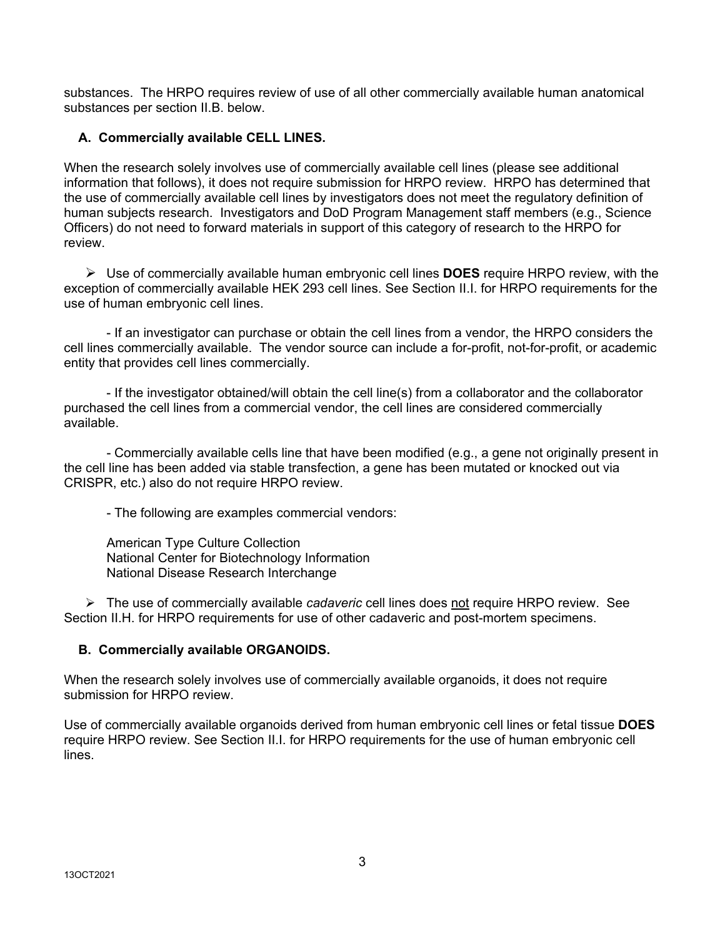substances. The HRPO requires review of use of all other commercially available human anatomical substances per section II.B. below.

# <span id="page-2-0"></span>**A. Commercially available CELL LINES.**

When the research solely involves use of commercially available cell lines (please see additional information that follows), it does not require submission for HRPO review. HRPO has determined that the use of commercially available cell lines by investigators does not meet the regulatory definition of human subjects research. Investigators and DoD Program Management staff members (e.g., Science Officers) do not need to forward materials in support of this category of research to the HRPO for review.

 Use of commercially available human embryonic cell lines **DOES** require HRPO review, with the exception of commercially available HEK 293 cell lines. See Section II.I. for HRPO requirements for the use of human embryonic cell lines.

- If an investigator can purchase or obtain the cell lines from a vendor, the HRPO considers the cell lines commercially available. The vendor source can include a for-profit, not-for-profit, or academic entity that provides cell lines commercially.

- If the investigator obtained/will obtain the cell line(s) from a collaborator and the collaborator purchased the cell lines from a commercial vendor, the cell lines are considered commercially available.

- Commercially available cells line that have been modified (e.g., a gene not originally present in the cell line has been added via stable transfection, a gene has been mutated or knocked out via CRISPR, etc.) also do not require HRPO review.

- The following are examples commercial vendors:

American Type Culture Collection National Center for Biotechnology Information National Disease Research Interchange

 The use of commercially available *cadaveric* cell lines does not require HRPO review. See Section II.H. for HRPO requirements for use of other cadaveric and post-mortem specimens.

### <span id="page-2-1"></span> **B. Commercially available ORGANOIDS.**

When the research solely involves use of commercially available organoids, it does not require submission for HRPO review.

Use of commercially available organoids derived from human embryonic cell lines or fetal tissue **DOES** require HRPO review. See Section II.I. for HRPO requirements for the use of human embryonic cell lines.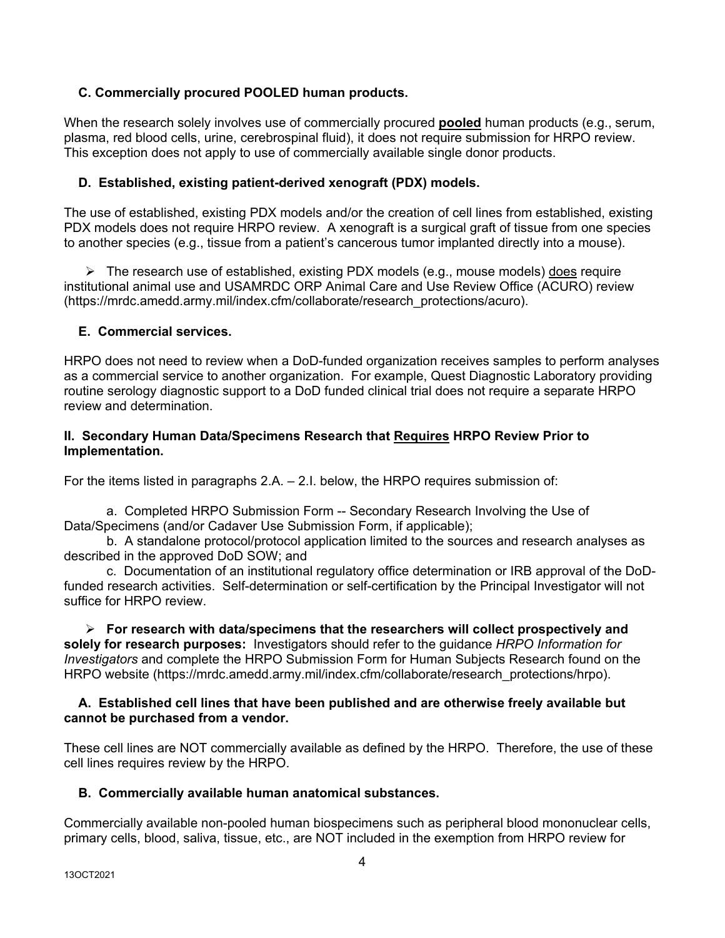# <span id="page-3-0"></span> **C. Commercially procured POOLED human products.**

When the research solely involves use of commercially procured **pooled** human products (e.g., serum, plasma, red blood cells, urine, cerebrospinal fluid), it does not require submission for HRPO review. This exception does not apply to use of commercially available single donor products.

# <span id="page-3-1"></span>**D. Established, existing patient-derived xenograft (PDX) models.**

The use of established, existing PDX models and/or the creation of cell lines from established, existing PDX models does not require HRPO review. A xenograft is a surgical graft of tissue from one species to another species (e.g., tissue from a patient's cancerous tumor implanted directly into a mouse).

 $\triangleright$  The research use of established, existing PDX models (e.g., mouse models) does require institutional animal use and USAMRDC ORP Animal Care and Use Review Office (ACURO) review (https://mrdc.amedd.army.mil/index.cfm/collaborate/research\_protections/acuro).

### <span id="page-3-2"></span>**E. Commercial services.**

HRPO does not need to review when a DoD-funded organization receives samples to perform analyses as a commercial service to another organization. For example, Quest Diagnostic Laboratory providing routine serology diagnostic support to a DoD funded clinical trial does not require a separate HRPO review and determination.

### <span id="page-3-3"></span>**II. Secondary Human Data/Specimens Research that Requires HRPO Review Prior to Implementation.**

For the items listed in paragraphs 2.A. – 2.I. below, the HRPO requires submission of:

a. Completed HRPO Submission Form -- Secondary Research Involving the Use of Data/Specimens (and/or Cadaver Use Submission Form, if applicable);

b. A standalone protocol/protocol application limited to the sources and research analyses as described in the approved DoD SOW; and

c. Documentation of an institutional regulatory office determination or IRB approval of the DoDfunded research activities. Self-determination or self-certification by the Principal Investigator will not suffice for HRPO review.

 **For research with data/specimens that the researchers will collect prospectively and solely for research purposes:** Investigators should refer to the guidance *HRPO Information for Investigators* and complete the HRPO Submission Form for Human Subjects Research found on the HRPO website (https://mrdc.amedd.army.mil/index.cfm/collaborate/research\_protections/hrpo).

#### <span id="page-3-4"></span> **A. Established cell lines that have been published and are otherwise freely available but cannot be purchased from a vendor.**

These cell lines are NOT commercially available as defined by the HRPO. Therefore, the use of these cell lines requires review by the HRPO.

### <span id="page-3-5"></span> **B. Commercially available human anatomical substances.**

Commercially available non-pooled human biospecimens such as peripheral blood mononuclear cells, primary cells, blood, saliva, tissue, etc., are NOT included in the exemption from HRPO review for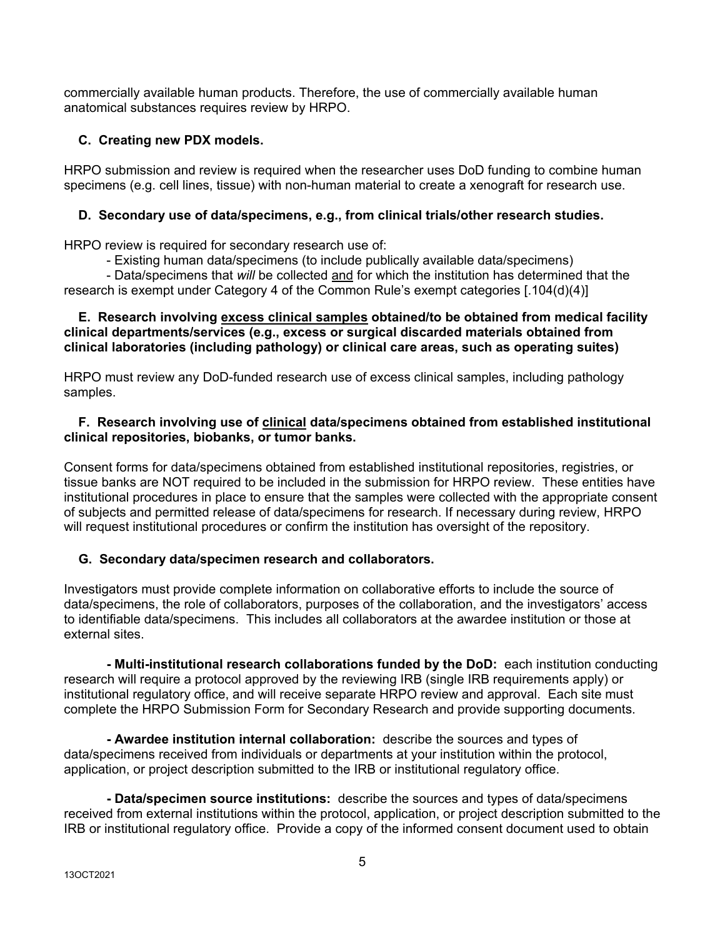commercially available human products. Therefore, the use of commercially available human anatomical substances requires review by HRPO.

# <span id="page-4-0"></span> **C. Creating new PDX models.**

HRPO submission and review is required when the researcher uses DoD funding to combine human specimens (e.g. cell lines, tissue) with non-human material to create a xenograft for research use.

# <span id="page-4-1"></span>**D. Secondary use of data/specimens, e.g., from clinical trials/other research studies.**

HRPO review is required for secondary research use of:

- Existing human data/specimens (to include publically available data/specimens)

- Data/specimens that *will* be collected and for which the institution has determined that the research is exempt under Category 4 of the Common Rule's exempt categories [.104(d)(4)]

### <span id="page-4-2"></span> **E. Research involving excess clinical samples obtained/to be obtained from medical facility clinical departments/services (e.g., excess or surgical discarded materials obtained from clinical laboratories (including pathology) or clinical care areas, such as operating suites)**

HRPO must review any DoD-funded research use of excess clinical samples, including pathology samples.

### <span id="page-4-3"></span> **F. Research involving use of clinical data/specimens obtained from established institutional clinical repositories, biobanks, or tumor banks.**

Consent forms for data/specimens obtained from established institutional repositories, registries, or tissue banks are NOT required to be included in the submission for HRPO review. These entities have institutional procedures in place to ensure that the samples were collected with the appropriate consent of subjects and permitted release of data/specimens for research. If necessary during review, HRPO will request institutional procedures or confirm the institution has oversight of the repository.

# <span id="page-4-4"></span> **G. Secondary data/specimen research and collaborators.**

Investigators must provide complete information on collaborative efforts to include the source of data/specimens, the role of collaborators, purposes of the collaboration, and the investigators' access to identifiable data/specimens. This includes all collaborators at the awardee institution or those at external sites.

**- Multi-institutional research collaborations funded by the DoD:** each institution conducting research will require a protocol approved by the reviewing IRB (single IRB requirements apply) or institutional regulatory office, and will receive separate HRPO review and approval. Each site must complete the HRPO Submission Form for Secondary Research and provide supporting documents.

**- Awardee institution internal collaboration:** describe the sources and types of data/specimens received from individuals or departments at your institution within the protocol, application, or project description submitted to the IRB or institutional regulatory office.

**- Data/specimen source institutions:** describe the sources and types of data/specimens received from external institutions within the protocol, application, or project description submitted to the IRB or institutional regulatory office. Provide a copy of the informed consent document used to obtain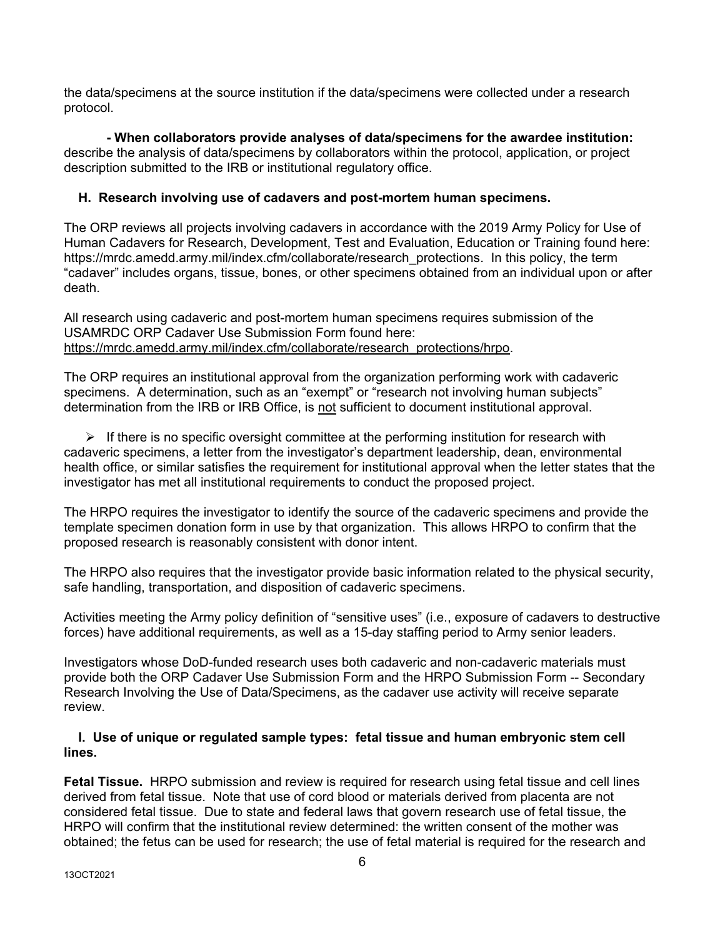the data/specimens at the source institution if the data/specimens were collected under a research protocol.

**- When collaborators provide analyses of data/specimens for the awardee institution:** describe the analysis of data/specimens by collaborators within the protocol, application, or project description submitted to the IRB or institutional regulatory office.

### <span id="page-5-0"></span> **H. Research involving use of cadavers and post-mortem human specimens.**

The ORP reviews all projects involving cadavers in accordance with the 2019 Army Policy for Use of Human Cadavers for Research, Development, Test and Evaluation, Education or Training found here: https://mrdc.amedd.army.mil/index.cfm/collaborate/research\_protections. In this policy, the term "cadaver" includes organs, tissue, bones, or other specimens obtained from an individual upon or after death.

All research using cadaveric and post-mortem human specimens requires submission of the USAMRDC ORP Cadaver Use Submission Form found here: [https://mrdc.amedd.army.mil/index.cfm/collaborate/research\\_protections/hrpo.](https://mrdc.amedd.army.mil/index.cfm/collaborate/research_protections/hrpo)

The ORP requires an institutional approval from the organization performing work with cadaveric specimens. A determination, such as an "exempt" or "research not involving human subjects" determination from the IRB or IRB Office, is not sufficient to document institutional approval.

 $\triangleright$  If there is no specific oversight committee at the performing institution for research with cadaveric specimens, a letter from the investigator's department leadership, dean, environmental health office, or similar satisfies the requirement for institutional approval when the letter states that the investigator has met all institutional requirements to conduct the proposed project.

The HRPO requires the investigator to identify the source of the cadaveric specimens and provide the template specimen donation form in use by that organization. This allows HRPO to confirm that the proposed research is reasonably consistent with donor intent.

The HRPO also requires that the investigator provide basic information related to the physical security, safe handling, transportation, and disposition of cadaveric specimens.

Activities meeting the Army policy definition of "sensitive uses" (i.e., exposure of cadavers to destructive forces) have additional requirements, as well as a 15-day staffing period to Army senior leaders.

Investigators whose DoD-funded research uses both cadaveric and non-cadaveric materials must provide both the ORP Cadaver Use Submission Form and the HRPO Submission Form -- Secondary Research Involving the Use of Data/Specimens, as the cadaver use activity will receive separate review.

### <span id="page-5-1"></span> **I. Use of unique or regulated sample types: fetal tissue and human embryonic stem cell lines.**

**Fetal Tissue.** HRPO submission and review is required for research using fetal tissue and cell lines derived from fetal tissue. Note that use of cord blood or materials derived from placenta are not considered fetal tissue. Due to state and federal laws that govern research use of fetal tissue, the HRPO will confirm that the institutional review determined: the written consent of the mother was obtained; the fetus can be used for research; the use of fetal material is required for the research and